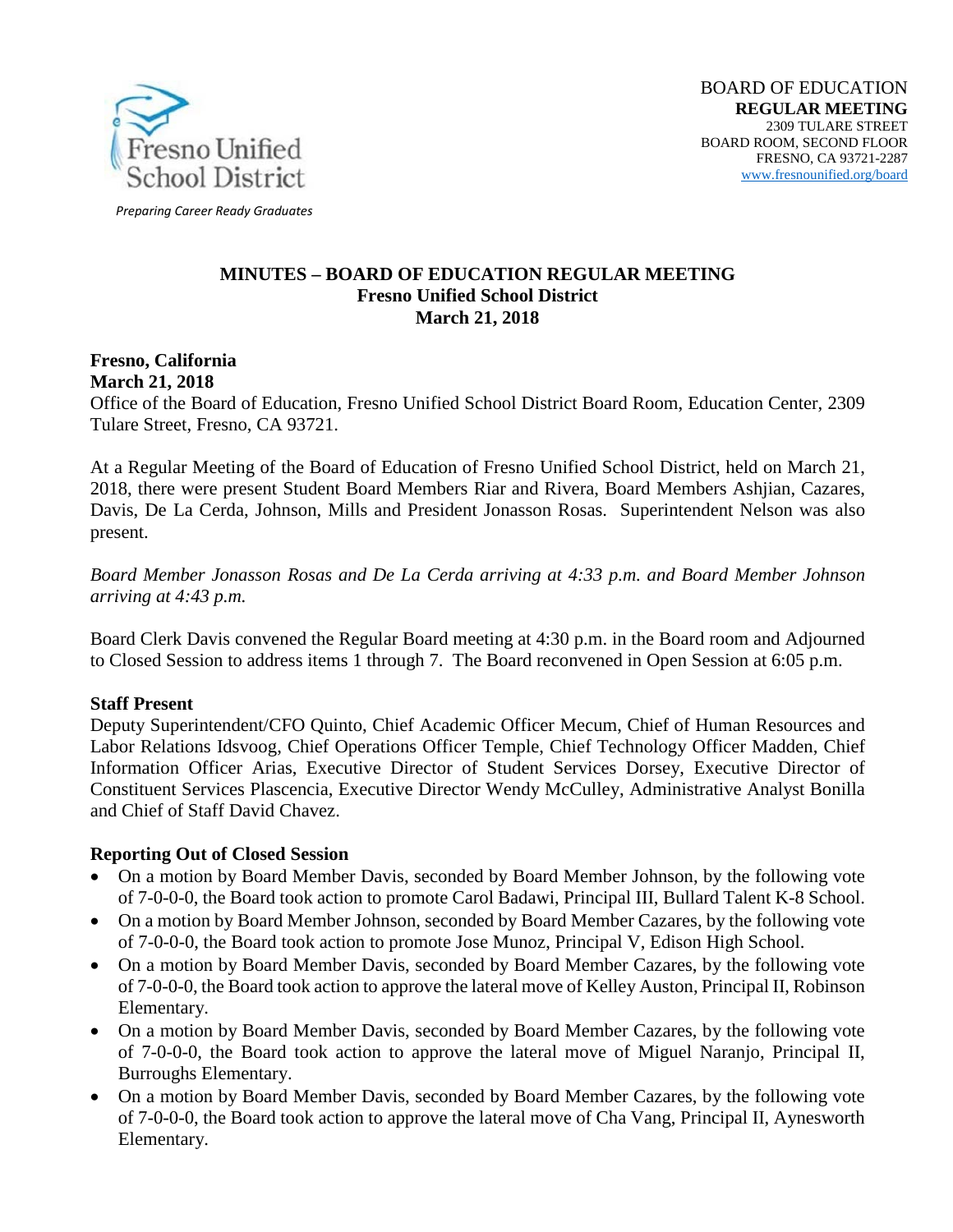

*Preparing Career Ready Graduates*

#### **MINUTES – BOARD OF EDUCATION REGULAR MEETING Fresno Unified School District March 21, 2018**

#### **Fresno, California March 21, 2018**

Office of the Board of Education, Fresno Unified School District Board Room, Education Center, 2309 Tulare Street, Fresno, CA 93721.

At a Regular Meeting of the Board of Education of Fresno Unified School District, held on March 21, 2018, there were present Student Board Members Riar and Rivera, Board Members Ashjian, Cazares, Davis, De La Cerda, Johnson, Mills and President Jonasson Rosas. Superintendent Nelson was also present.

*Board Member Jonasson Rosas and De La Cerda arriving at 4:33 p.m. and Board Member Johnson arriving at 4:43 p.m.*

Board Clerk Davis convened the Regular Board meeting at 4:30 p.m. in the Board room and Adjourned to Closed Session to address items 1 through 7. The Board reconvened in Open Session at 6:05 p.m.

### **Staff Present**

Deputy Superintendent/CFO Quinto, Chief Academic Officer Mecum, Chief of Human Resources and Labor Relations Idsvoog, Chief Operations Officer Temple, Chief Technology Officer Madden, Chief Information Officer Arias, Executive Director of Student Services Dorsey, Executive Director of Constituent Services Plascencia, Executive Director Wendy McCulley, Administrative Analyst Bonilla and Chief of Staff David Chavez.

### **Reporting Out of Closed Session**

- On a motion by Board Member Davis, seconded by Board Member Johnson, by the following vote of 7-0-0-0, the Board took action to promote Carol Badawi, Principal III, Bullard Talent K-8 School.
- On a motion by Board Member Johnson, seconded by Board Member Cazares, by the following vote of 7-0-0-0, the Board took action to promote Jose Munoz, Principal V, Edison High School.
- On a motion by Board Member Davis, seconded by Board Member Cazares, by the following vote of 7-0-0-0, the Board took action to approve the lateral move of Kelley Auston, Principal II, Robinson Elementary.
- On a motion by Board Member Davis, seconded by Board Member Cazares, by the following vote of 7-0-0-0, the Board took action to approve the lateral move of Miguel Naranjo, Principal II, Burroughs Elementary.
- On a motion by Board Member Davis, seconded by Board Member Cazares, by the following vote of 7-0-0-0, the Board took action to approve the lateral move of Cha Vang, Principal II, Aynesworth Elementary.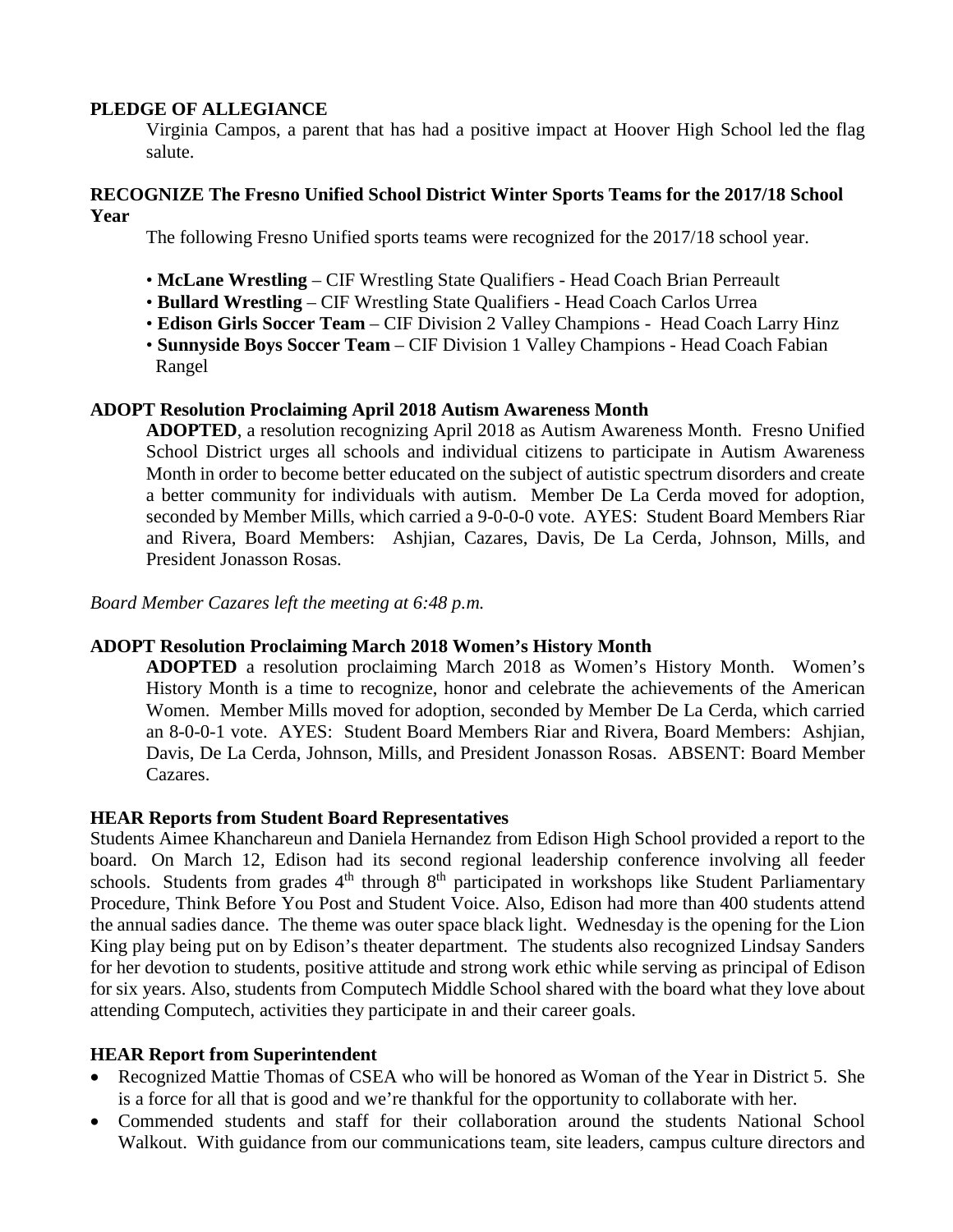#### **PLEDGE OF ALLEGIANCE**

Virginia Campos, a parent that has had a positive impact at Hoover High School led the flag salute.

#### **RECOGNIZE The Fresno Unified School District Winter Sports Teams for the 2017/18 School Year**

The following Fresno Unified sports teams were recognized for the 2017/18 school year.

- **McLane Wrestling** CIF Wrestling State Qualifiers Head Coach Brian Perreault
- **Bullard Wrestling** CIF Wrestling State Qualifiers Head Coach Carlos Urrea
- **Edison Girls Soccer Team** CIF Division 2 Valley Champions Head Coach Larry Hinz
- **Sunnyside Boys Soccer Team** CIF Division 1 Valley Champions Head Coach Fabian Rangel

#### **ADOPT Resolution Proclaiming April 2018 Autism Awareness Month**

**ADOPTED**, a resolution recognizing April 2018 as Autism Awareness Month. Fresno Unified School District urges all schools and individual citizens to participate in Autism Awareness Month in order to become better educated on the subject of autistic spectrum disorders and create a better community for individuals with autism. Member De La Cerda moved for adoption, seconded by Member Mills, which carried a 9-0-0-0 vote. AYES: Student Board Members Riar and Rivera, Board Members: Ashjian, Cazares, Davis, De La Cerda, Johnson, Mills, and President Jonasson Rosas.

*Board Member Cazares left the meeting at 6:48 p.m.*

#### **ADOPT Resolution Proclaiming March 2018 Women's History Month**

**ADOPTED** a resolution proclaiming March 2018 as Women's History Month. Women's History Month is a time to recognize, honor and celebrate the achievements of the American Women. Member Mills moved for adoption, seconded by Member De La Cerda, which carried an 8-0-0-1 vote. AYES: Student Board Members Riar and Rivera, Board Members: Ashjian, Davis, De La Cerda, Johnson, Mills, and President Jonasson Rosas. ABSENT: Board Member Cazares.

#### **HEAR Reports from Student Board Representatives**

Students Aimee Khanchareun and Daniela Hernandez from Edison High School provided a report to the board. On March 12, Edison had its second regional leadership conference involving all feeder schools. Students from grades  $4<sup>th</sup>$  through  $8<sup>th</sup>$  participated in workshops like Student Parliamentary Procedure, Think Before You Post and Student Voice. Also, Edison had more than 400 students attend the annual sadies dance. The theme was outer space black light. Wednesday is the opening for the Lion King play being put on by Edison's theater department. The students also recognized Lindsay Sanders for her devotion to students, positive attitude and strong work ethic while serving as principal of Edison for six years. Also, students from Computech Middle School shared with the board what they love about attending Computech, activities they participate in and their career goals.

#### **HEAR Report from Superintendent**

- Recognized Mattie Thomas of CSEA who will be honored as Woman of the Year in District 5. She is a force for all that is good and we're thankful for the opportunity to collaborate with her.
- Commended students and staff for their collaboration around the students National School Walkout. With guidance from our communications team, site leaders, campus culture directors and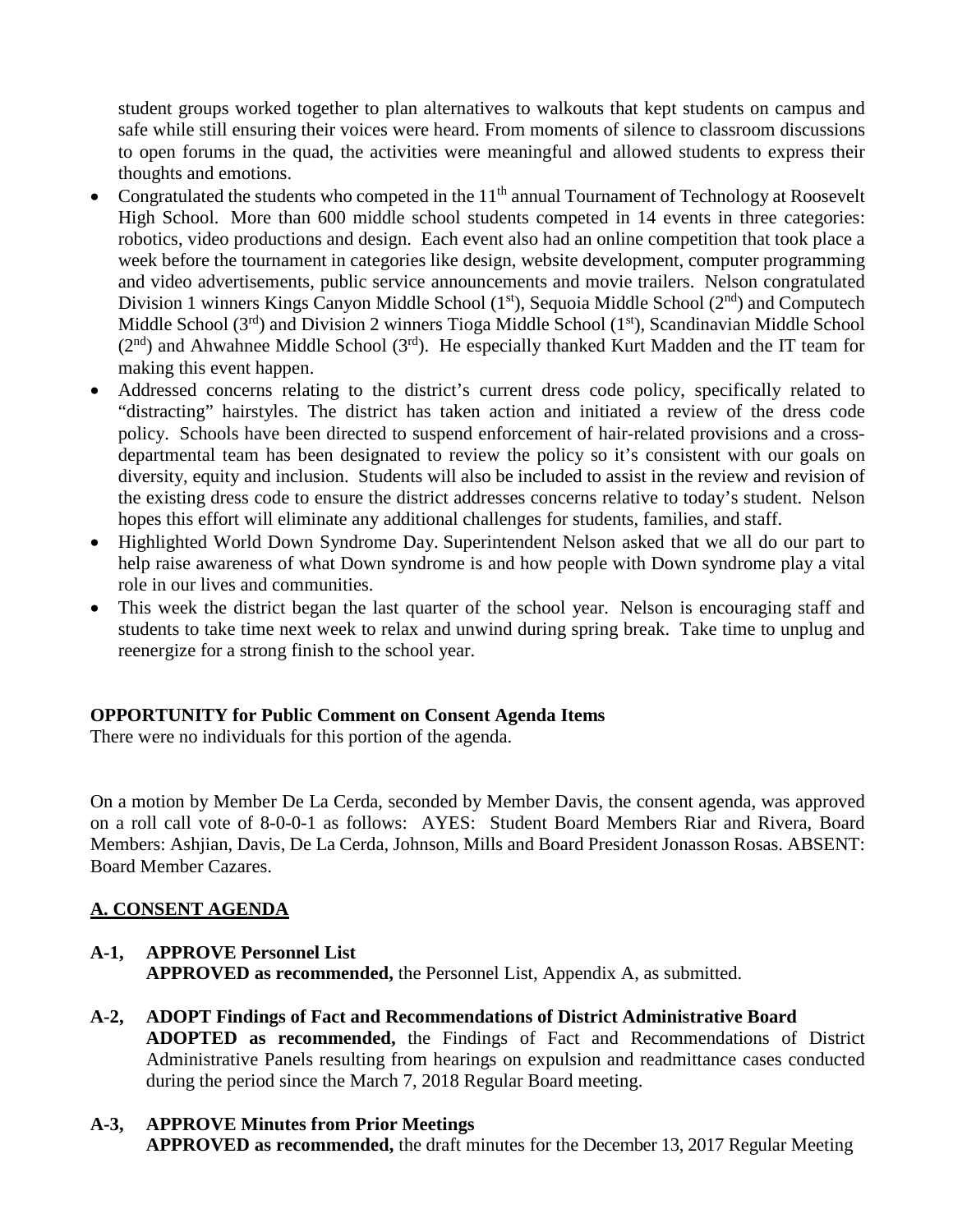student groups worked together to plan alternatives to walkouts that kept students on campus and safe while still ensuring their voices were heard. From moments of silence to classroom discussions to open forums in the quad, the activities were meaningful and allowed students to express their thoughts and emotions.

- Congratulated the students who competed in the  $11<sup>th</sup>$  annual Tournament of Technology at Roosevelt High School. More than 600 middle school students competed in 14 events in three categories: robotics, video productions and design. Each event also had an online competition that took place a week before the tournament in categories like design, website development, computer programming and video advertisements, public service announcements and movie trailers. Nelson congratulated Division 1 winners Kings Canyon Middle School (1<sup>st</sup>), Sequoia Middle School (2<sup>nd</sup>) and Computech Middle School  $(3<sup>rd</sup>)$  and Division 2 winners Tioga Middle School  $(1<sup>st</sup>)$ , Scandinavian Middle School  $(2<sup>nd</sup>)$  and Ahwahnee Middle School  $(3<sup>rd</sup>)$ . He especially thanked Kurt Madden and the IT team for making this event happen.
- Addressed concerns relating to the district's current dress code policy, specifically related to "distracting" hairstyles. The district has taken action and initiated a review of the dress code policy. Schools have been directed to suspend enforcement of hair-related provisions and a crossdepartmental team has been designated to review the policy so it's consistent with our goals on diversity, equity and inclusion. Students will also be included to assist in the review and revision of the existing dress code to ensure the district addresses concerns relative to today's student. Nelson hopes this effort will eliminate any additional challenges for students, families, and staff.
- Highlighted World Down Syndrome Day. Superintendent Nelson asked that we all do our part to help raise awareness of what Down syndrome is and how people with Down syndrome play a vital role in our lives and communities.
- This week the district began the last quarter of the school year. Nelson is encouraging staff and students to take time next week to relax and unwind during spring break. Take time to unplug and reenergize for a strong finish to the school year.

### **OPPORTUNITY for Public Comment on Consent Agenda Items**

There were no individuals for this portion of the agenda.

On a motion by Member De La Cerda, seconded by Member Davis, the consent agenda, was approved on a roll call vote of 8-0-0-1 as follows: AYES: Student Board Members Riar and Rivera, Board Members: Ashjian, Davis, De La Cerda, Johnson, Mills and Board President Jonasson Rosas. ABSENT: Board Member Cazares.

#### **A. CONSENT AGENDA**

- **A-1, APPROVE Personnel List APPROVED as recommended,** the Personnel List, Appendix A, as submitted.
- **A-2, ADOPT Findings of Fact and Recommendations of District Administrative Board ADOPTED as recommended,** the Findings of Fact and Recommendations of District Administrative Panels resulting from hearings on expulsion and readmittance cases conducted during the period since the March 7, 2018 Regular Board meeting.

### **A-3, APPROVE Minutes from Prior Meetings**

**APPROVED as recommended,** the draft minutes for the December 13, 2017 Regular Meeting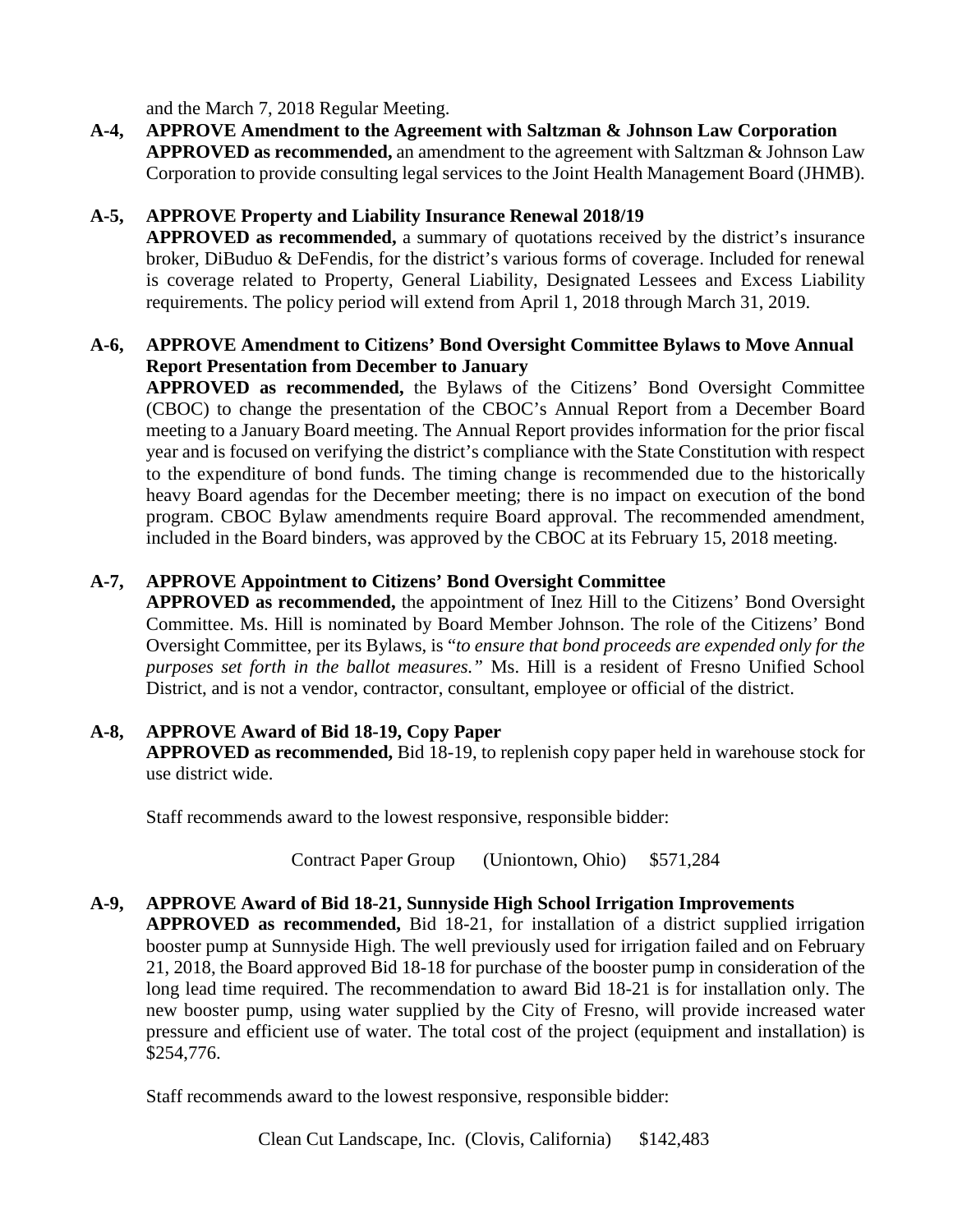and the March 7, 2018 Regular Meeting.

**A-4, APPROVE Amendment to the Agreement with Saltzman & Johnson Law Corporation APPROVED as recommended,** an amendment to the agreement with Saltzman & Johnson Law Corporation to provide consulting legal services to the Joint Health Management Board (JHMB).

## **A-5, APPROVE Property and Liability Insurance Renewal 2018/19**

**APPROVED as recommended,** a summary of quotations received by the district's insurance broker, DiBuduo & DeFendis, for the district's various forms of coverage. Included for renewal is coverage related to Property, General Liability, Designated Lessees and Excess Liability requirements. The policy period will extend from April 1, 2018 through March 31, 2019.

### **A-6, APPROVE Amendment to Citizens' Bond Oversight Committee Bylaws to Move Annual Report Presentation from December to January**

**APPROVED as recommended,** the Bylaws of the Citizens' Bond Oversight Committee (CBOC) to change the presentation of the CBOC's Annual Report from a December Board meeting to a January Board meeting. The Annual Report provides information for the prior fiscal year and is focused on verifying the district's compliance with the State Constitution with respect to the expenditure of bond funds. The timing change is recommended due to the historically heavy Board agendas for the December meeting; there is no impact on execution of the bond program. CBOC Bylaw amendments require Board approval. The recommended amendment, included in the Board binders, was approved by the CBOC at its February 15, 2018 meeting.

## **A-7, APPROVE Appointment to Citizens' Bond Oversight Committee**

**APPROVED as recommended,** the appointment of Inez Hill to the Citizens' Bond Oversight Committee. Ms. Hill is nominated by Board Member Johnson. The role of the Citizens' Bond Oversight Committee, per its Bylaws, is "*to ensure that bond proceeds are expended only for the purposes set forth in the ballot measures."* Ms. Hill is a resident of Fresno Unified School District, and is not a vendor, contractor, consultant, employee or official of the district.

# **A-8, APPROVE Award of Bid 18-19, Copy Paper**

**APPROVED as recommended,** Bid 18-19, to replenish copy paper held in warehouse stock for use district wide.

Staff recommends award to the lowest responsive, responsible bidder:

Contract Paper Group (Uniontown, Ohio) \$571,284

### **A-9, APPROVE Award of Bid 18-21, Sunnyside High School Irrigation Improvements**

**APPROVED as recommended,** Bid 18-21, for installation of a district supplied irrigation booster pump at Sunnyside High. The well previously used for irrigation failed and on February 21, 2018, the Board approved Bid 18-18 for purchase of the booster pump in consideration of the long lead time required. The recommendation to award Bid 18-21 is for installation only. The new booster pump, using water supplied by the City of Fresno, will provide increased water pressure and efficient use of water. The total cost of the project (equipment and installation) is \$254,776.

Staff recommends award to the lowest responsive, responsible bidder:

Clean Cut Landscape, Inc. (Clovis, California) \$142,483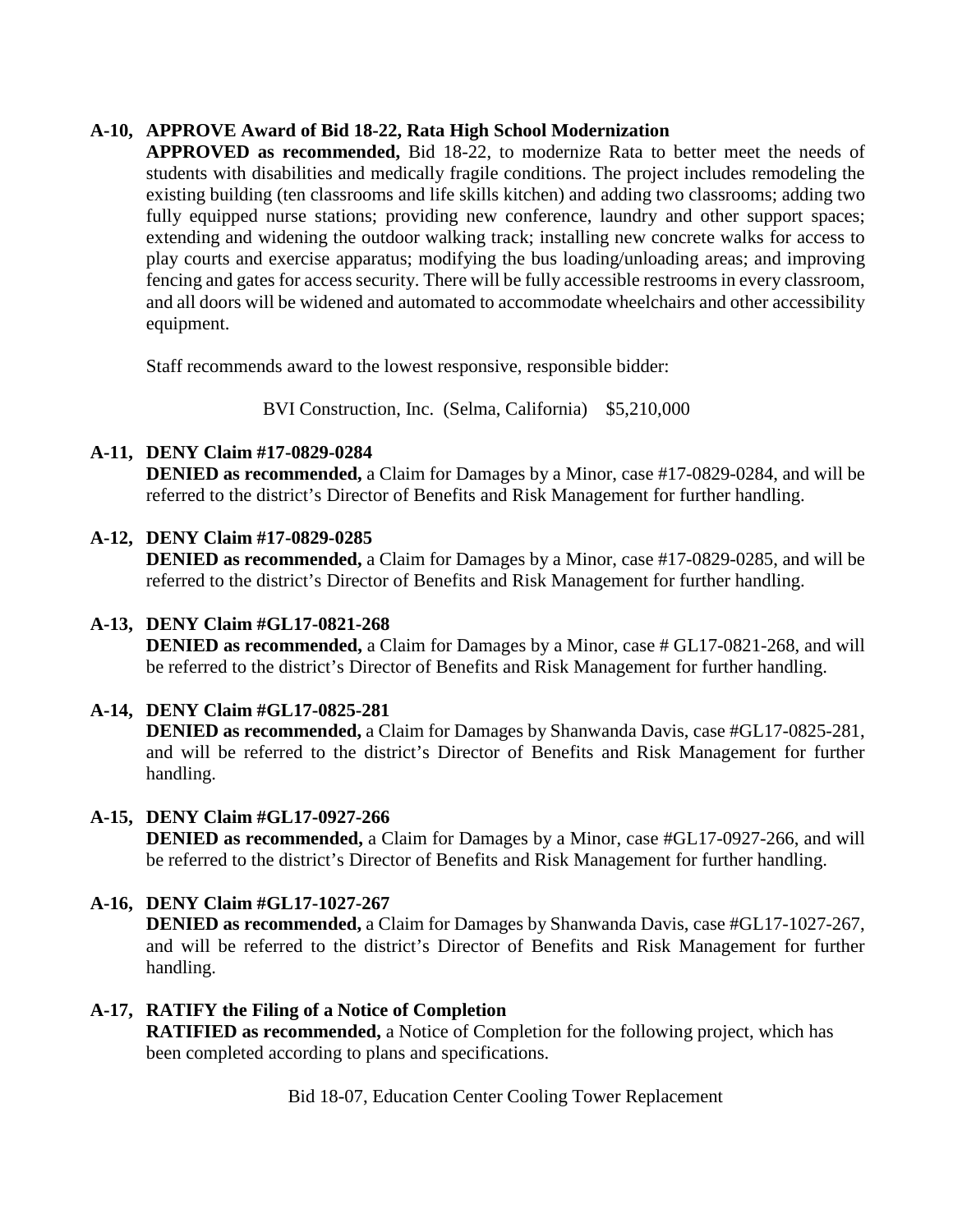### **A-10, APPROVE Award of Bid 18-22, Rata High School Modernization**

**APPROVED as recommended,** Bid 18-22, to modernize Rata to better meet the needs of students with disabilities and medically fragile conditions. The project includes remodeling the existing building (ten classrooms and life skills kitchen) and adding two classrooms; adding two fully equipped nurse stations; providing new conference, laundry and other support spaces; extending and widening the outdoor walking track; installing new concrete walks for access to play courts and exercise apparatus; modifying the bus loading/unloading areas; and improving fencing and gates for access security. There will be fully accessible restrooms in every classroom, and all doors will be widened and automated to accommodate wheelchairs and other accessibility equipment.

Staff recommends award to the lowest responsive, responsible bidder:

BVI Construction, Inc. (Selma, California) \$5,210,000

### **A-11, DENY Claim #17-0829-0284**

**DENIED as recommended,** a Claim for Damages by a Minor, case #17-0829-0284, and will be referred to the district's Director of Benefits and Risk Management for further handling.

## **A-12, DENY Claim #17-0829-0285**

**DENIED as recommended,** a Claim for Damages by a Minor, case #17-0829-0285, and will be referred to the district's Director of Benefits and Risk Management for further handling.

## **A-13, DENY Claim #GL17-0821-268**

**DENIED as recommended,** a Claim for Damages by a Minor, case # GL17-0821-268, and will be referred to the district's Director of Benefits and Risk Management for further handling.

# **A-14, DENY Claim #GL17-0825-281**

**DENIED as recommended,** a Claim for Damages by Shanwanda Davis, case #GL17-0825-281, and will be referred to the district's Director of Benefits and Risk Management for further handling.

### **A-15, DENY Claim #GL17-0927-266**

**DENIED as recommended,** a Claim for Damages by a Minor, case #GL17-0927-266, and will be referred to the district's Director of Benefits and Risk Management for further handling.

### **A-16, DENY Claim #GL17-1027-267**

**DENIED as recommended,** a Claim for Damages by Shanwanda Davis, case #GL17-1027-267, and will be referred to the district's Director of Benefits and Risk Management for further handling.

### **A-17, RATIFY the Filing of a Notice of Completion**

**RATIFIED as recommended,** a Notice of Completion for the following project, which has been completed according to plans and specifications.

Bid 18-07, Education Center Cooling Tower Replacement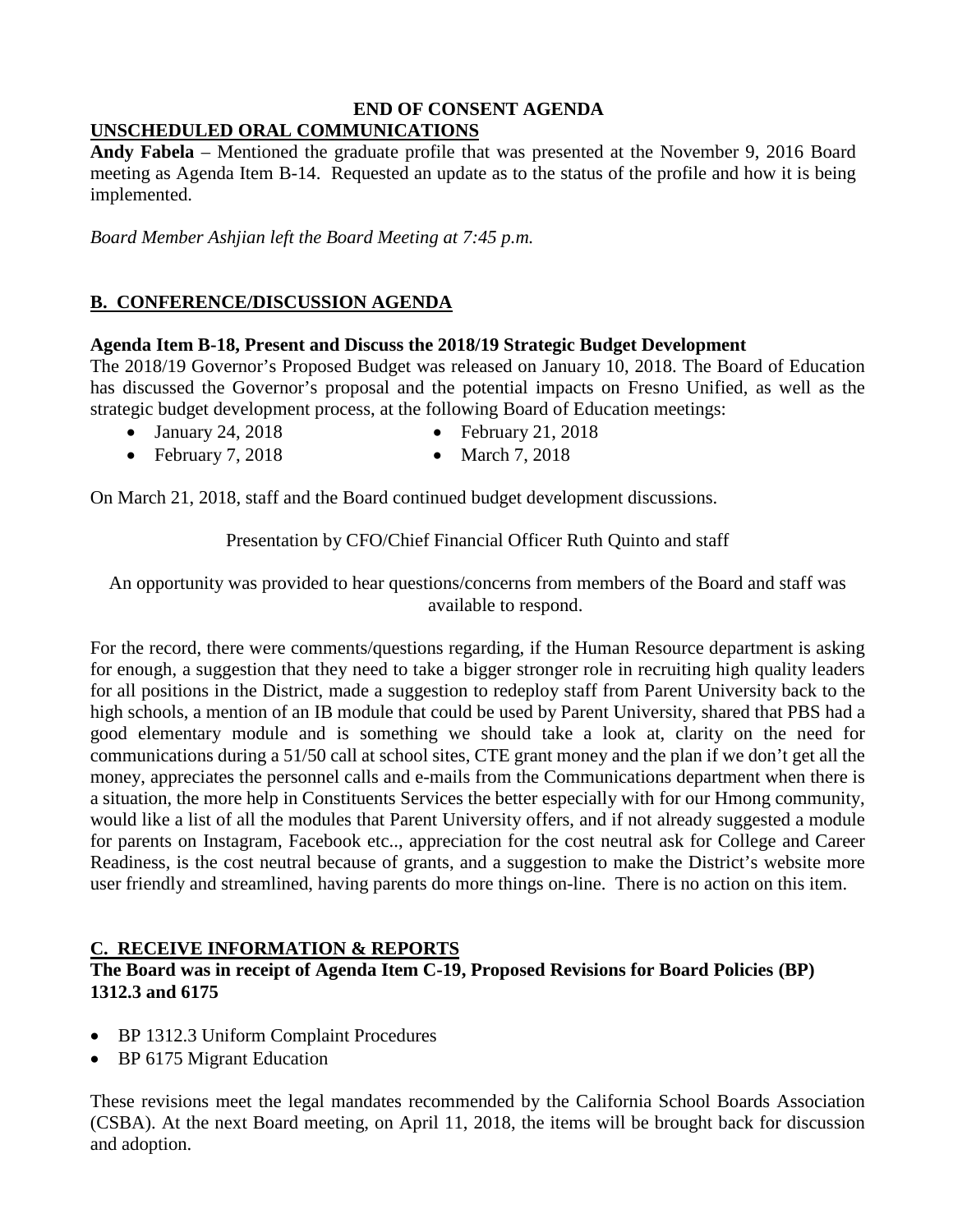#### **END OF CONSENT AGENDA UNSCHEDULED ORAL COMMUNICATIONS**

**Andy Fabela** – Mentioned the graduate profile that was presented at the November 9, 2016 Board meeting as Agenda Item B-14. Requested an update as to the status of the profile and how it is being implemented.

*Board Member Ashjian left the Board Meeting at 7:45 p.m.*

# **B. CONFERENCE/DISCUSSION AGENDA**

### **Agenda Item B-18, Present and Discuss the 2018/19 Strategic Budget Development**

The 2018/19 Governor's Proposed Budget was released on January 10, 2018. The Board of Education has discussed the Governor's proposal and the potential impacts on Fresno Unified, as well as the strategic budget development process, at the following Board of Education meetings:

- January 24, 2018 February 21, 2018
	-
- February 7, 2018 March 7, 2018

On March 21, 2018, staff and the Board continued budget development discussions.

## Presentation by CFO/Chief Financial Officer Ruth Quinto and staff

An opportunity was provided to hear questions/concerns from members of the Board and staff was available to respond.

For the record, there were comments/questions regarding, if the Human Resource department is asking for enough, a suggestion that they need to take a bigger stronger role in recruiting high quality leaders for all positions in the District, made a suggestion to redeploy staff from Parent University back to the high schools, a mention of an IB module that could be used by Parent University, shared that PBS had a good elementary module and is something we should take a look at, clarity on the need for communications during a 51/50 call at school sites, CTE grant money and the plan if we don't get all the money, appreciates the personnel calls and e-mails from the Communications department when there is a situation, the more help in Constituents Services the better especially with for our Hmong community, would like a list of all the modules that Parent University offers, and if not already suggested a module for parents on Instagram, Facebook etc.., appreciation for the cost neutral ask for College and Career Readiness, is the cost neutral because of grants, and a suggestion to make the District's website more user friendly and streamlined, having parents do more things on-line. There is no action on this item.

# **C. RECEIVE INFORMATION & REPORTS**

### **The Board was in receipt of Agenda Item C-19, Proposed Revisions for Board Policies (BP) 1312.3 and 6175**

- BP 1312.3 Uniform Complaint Procedures
- BP 6175 Migrant Education

These revisions meet the legal mandates recommended by the California School Boards Association (CSBA). At the next Board meeting, on April 11, 2018, the items will be brought back for discussion and adoption.